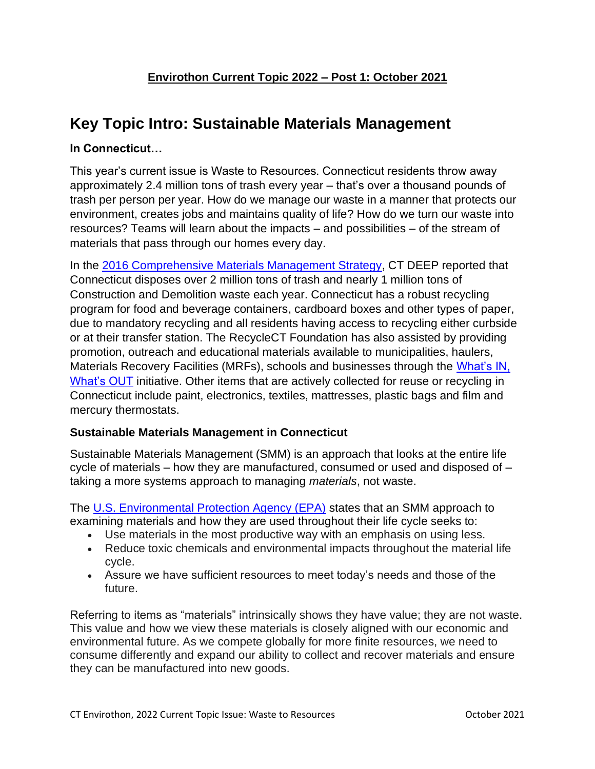# **Key Topic Intro: Sustainable Materials Management**

### **In Connecticut…**

This year's current issue is Waste to Resources. Connecticut residents throw away approximately 2.4 million tons of trash every year – that's over a thousand pounds of trash per person per year. How do we manage our waste in a manner that protects our environment, creates jobs and maintains quality of life? How do we turn our waste into resources? Teams will learn about the impacts – and possibilities – of the stream of materials that pass through our homes every day.

In the [2016 Comprehensive Materials Management Strategy,](https://portal.ct.gov/DEEP/Waste-Management-and-Disposal/Solid-Waste-Management-Plan/Comprehensive-Materials-Management-Strategy) CT DEEP reported that Connecticut disposes over 2 million tons of trash and nearly 1 million tons of Construction and Demolition waste each year. Connecticut has a robust recycling program for food and beverage containers, cardboard boxes and other types of paper, due to mandatory recycling and all residents having access to recycling either curbside or at their transfer station. The RecycleCT Foundation has also assisted by providing promotion, outreach and educational materials available to municipalities, haulers, Materials Recovery Facilities (MRFs), schools and businesses through the What's IN, [What's OUT](http://www.recyclect.com/) initiative. Other items that are actively collected for reuse or recycling in Connecticut include paint, electronics, textiles, mattresses, plastic bags and film and mercury thermostats.

#### **Sustainable Materials Management in Connecticut**

Sustainable Materials Management (SMM) is an approach that looks at the entire life cycle of materials – how they are manufactured, consumed or used and disposed of – taking a more systems approach to managing *materials*, not waste.

The [U.S. Environmental Protection Agency \(EPA\)](https://www.epa.gov/smm/sustainable-materials-management-basics) states that an SMM approach to examining materials and how they are used throughout their life cycle seeks to:

- Use materials in the most productive way with an emphasis on using less.
- Reduce toxic chemicals and environmental impacts throughout the material life cycle.
- Assure we have sufficient resources to meet today's needs and those of the future.

Referring to items as "materials" intrinsically shows they have value; they are not waste. This value and how we view these materials is closely aligned with our economic and environmental future. As we compete globally for more finite resources, we need to consume differently and expand our ability to collect and recover materials and ensure they can be manufactured into new goods.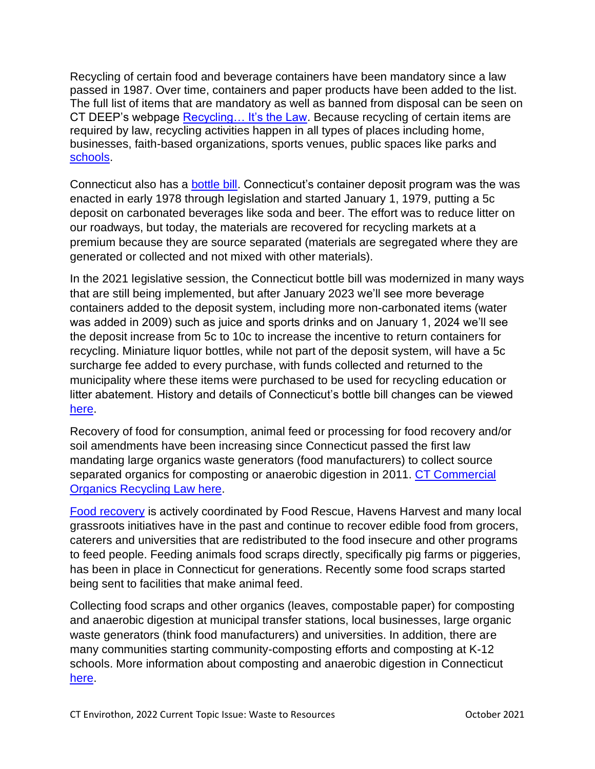Recycling of certain food and beverage containers have been mandatory since a law passed in 1987. Over time, containers and paper products have been added to the list. The full list of items that are mandatory as well as banned from disposal can be seen on CT DEEP's webpage Recycling... It's the Law. Because recycling of certain items are required by law, recycling activities happen in all types of places including home, businesses, faith-based organizations, sports venues, public spaces like parks and [schools.](https://portal.ct.gov/DEEP/Reduce-Reuse-Recycle/Schools/School-and-Institution-Recycling-Main-Page)

Connecticut also has a [bottle bill.](https://portal.ct.gov/DEEP/Reduce-Reuse-Recycle/Bottles/Connecticut-Bottle-Bill) Connecticut's container deposit program was the was enacted in early 1978 through legislation and started January 1, 1979, putting a 5c deposit on carbonated beverages like soda and beer. The effort was to reduce litter on our roadways, but today, the materials are recovered for recycling markets at a premium because they are source separated (materials are segregated where they are generated or collected and not mixed with other materials).

In the 2021 legislative session, the Connecticut bottle bill was modernized in many ways that are still being implemented, but after January 2023 we'll see more beverage containers added to the deposit system, including more non-carbonated items (water was added in 2009) such as juice and sports drinks and on January 1, 2024 we'll see the deposit increase from 5c to 10c to increase the incentive to return containers for recycling. Miniature liquor bottles, while not part of the deposit system, will have a 5c surcharge fee added to every purchase, with funds collected and returned to the municipality where these items were purchased to be used for recycling education or litter abatement. History and details of Connecticut's bottle bill changes can be viewed [here.](https://www.bottlebill.org/index.php/current-and-proposed-laws/usa/connecticut)

Recovery of food for consumption, animal feed or processing for food recovery and/or soil amendments have been increasing since Connecticut passed the first law mandating large organics waste generators (food manufacturers) to collect source separated organics for composting or anaerobic digestion in 2011. [CT Commercial](https://portal.ct.gov/DEEP/Waste-Management-and-Disposal/Organics-Recycling/Commercial-Organics-Recycling-Law)  [Organics Recycling Law here.](https://portal.ct.gov/DEEP/Waste-Management-and-Disposal/Organics-Recycling/Commercial-Organics-Recycling-Law)

[Food recovery](https://portal.ct.gov/DEEP/Reduce-Reuse-Recycle/Waste-Reduction/Food-Waste---Reduction-and-Recovery) is actively coordinated by Food Rescue, Havens Harvest and many local grassroots initiatives have in the past and continue to recover edible food from grocers, caterers and universities that are redistributed to the food insecure and other programs to feed people. Feeding animals food scraps directly, specifically pig farms or piggeries, has been in place in Connecticut for generations. Recently some food scraps started being sent to facilities that make animal feed.

Collecting food scraps and other organics (leaves, compostable paper) for composting and anaerobic digestion at municipal transfer stations, local businesses, large organic waste generators (think food manufacturers) and universities. In addition, there are many communities starting community-composting efforts and composting at K-12 schools. More information about composting and anaerobic digestion in Connecticut [here.](https://portal.ct.gov/DEEP/Waste-Management-and-Disposal/Organics-Recycling/Composting-and-Organics-Recycling)